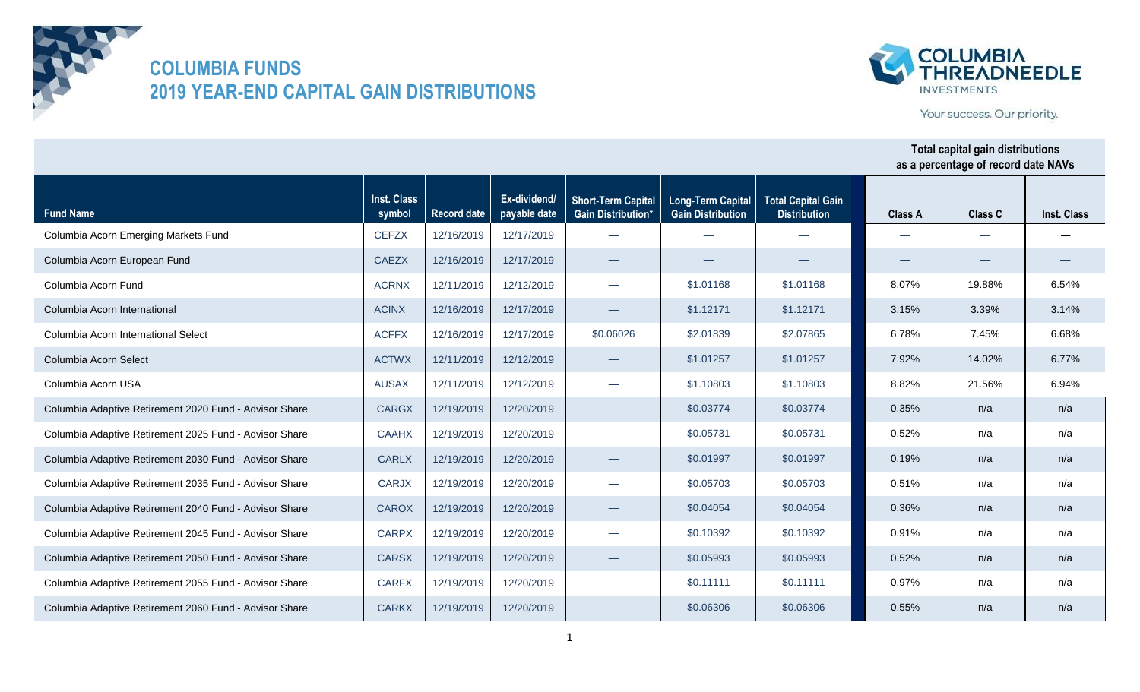



Your success. Our priority.

| <b>Fund Name</b>                                       | <b>Inst. Class</b><br>symbol | Record date | Ex-dividend/<br>payable date | <b>Short-Term Capital</b><br><b>Gain Distribution*</b> | <b>Long-Term Capital</b><br><b>Gain Distribution</b> | <b>Total Capital Gain</b><br><b>Distribution</b> | <b>Class A</b> | <b>Class C</b> | <b>Inst. Class</b> |
|--------------------------------------------------------|------------------------------|-------------|------------------------------|--------------------------------------------------------|------------------------------------------------------|--------------------------------------------------|----------------|----------------|--------------------|
| Columbia Acorn Emerging Markets Fund                   | <b>CEFZX</b>                 | 12/16/2019  | 12/17/2019                   |                                                        |                                                      |                                                  |                |                |                    |
| Columbia Acorn European Fund                           | <b>CAEZX</b>                 | 12/16/2019  | 12/17/2019                   |                                                        |                                                      |                                                  |                |                |                    |
| Columbia Acorn Fund                                    | <b>ACRNX</b>                 | 12/11/2019  | 12/12/2019                   | $\overline{\phantom{0}}$                               | \$1.01168                                            | \$1.01168                                        | 8.07%          | 19.88%         | 6.54%              |
| Columbia Acorn International                           | <b>ACINX</b>                 | 12/16/2019  | 12/17/2019                   |                                                        | \$1.12171                                            | \$1.12171                                        | 3.15%          | 3.39%          | 3.14%              |
| Columbia Acorn International Select                    | <b>ACFFX</b>                 | 12/16/2019  | 12/17/2019                   | \$0.06026                                              | \$2.01839                                            | \$2.07865                                        | 6.78%          | 7.45%          | 6.68%              |
| Columbia Acorn Select                                  | <b>ACTWX</b>                 | 12/11/2019  | 12/12/2019                   |                                                        | \$1.01257                                            | \$1.01257                                        | 7.92%          | 14.02%         | 6.77%              |
| Columbia Acorn USA                                     | <b>AUSAX</b>                 | 12/11/2019  | 12/12/2019                   |                                                        | \$1.10803                                            | \$1,10803                                        | 8.82%          | 21.56%         | 6.94%              |
| Columbia Adaptive Retirement 2020 Fund - Advisor Share | <b>CARGX</b>                 | 12/19/2019  | 12/20/2019                   |                                                        | \$0.03774                                            | \$0.03774                                        | 0.35%          | n/a            | n/a                |
| Columbia Adaptive Retirement 2025 Fund - Advisor Share | <b>CAAHX</b>                 | 12/19/2019  | 12/20/2019                   | $\overline{\phantom{0}}$                               | \$0.05731                                            | \$0.05731                                        | 0.52%          | n/a            | n/a                |
| Columbia Adaptive Retirement 2030 Fund - Advisor Share | <b>CARLX</b>                 | 12/19/2019  | 12/20/2019                   |                                                        | \$0.01997                                            | \$0.01997                                        | 0.19%          | n/a            | n/a                |
| Columbia Adaptive Retirement 2035 Fund - Advisor Share | <b>CARJX</b>                 | 12/19/2019  | 12/20/2019                   | $\overline{\phantom{a}}$                               | \$0.05703                                            | \$0.05703                                        | 0.51%          | n/a            | n/a                |
| Columbia Adaptive Retirement 2040 Fund - Advisor Share | <b>CAROX</b>                 | 12/19/2019  | 12/20/2019                   |                                                        | \$0.04054                                            | \$0.04054                                        | 0.36%          | n/a            | n/a                |
| Columbia Adaptive Retirement 2045 Fund - Advisor Share | <b>CARPX</b>                 | 12/19/2019  | 12/20/2019                   | $\sim$                                                 | \$0.10392                                            | \$0.10392                                        | 0.91%          | n/a            | n/a                |
| Columbia Adaptive Retirement 2050 Fund - Advisor Share | <b>CARSX</b>                 | 12/19/2019  | 12/20/2019                   |                                                        | \$0.05993                                            | \$0.05993                                        | 0.52%          | n/a            | n/a                |
| Columbia Adaptive Retirement 2055 Fund - Advisor Share | <b>CARFX</b>                 | 12/19/2019  | 12/20/2019                   | $\overline{\phantom{0}}$                               | \$0.11111                                            | \$0.11111                                        | 0.97%          | n/a            | n/a                |
| Columbia Adaptive Retirement 2060 Fund - Advisor Share | <b>CARKX</b>                 | 12/19/2019  | 12/20/2019                   |                                                        | \$0.06306                                            | \$0.06306                                        | 0.55%          | n/a            | n/a                |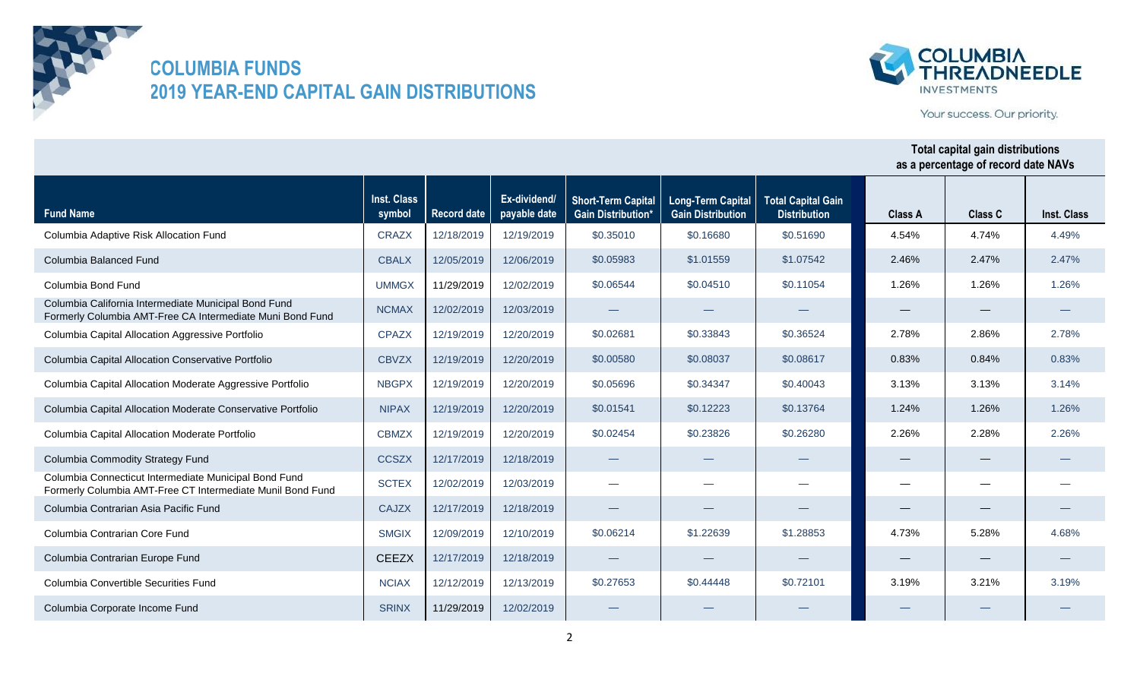



Your success. Our priority.

| <b>Fund Name</b>                                                                                                    | Inst. Class<br>symbol | <b>Record date</b> | Ex-dividend/<br>payable date | <b>Short-Term Capital</b><br><b>Gain Distribution'</b> | <b>Long-Term Capital</b><br><b>Gain Distribution</b> | <b>Total Capital Gain</b><br><b>Distribution</b> | <b>Class A</b>    | <b>Class C</b>                   | Inst. Class |
|---------------------------------------------------------------------------------------------------------------------|-----------------------|--------------------|------------------------------|--------------------------------------------------------|------------------------------------------------------|--------------------------------------------------|-------------------|----------------------------------|-------------|
| Columbia Adaptive Risk Allocation Fund                                                                              | <b>CRAZX</b>          | 12/18/2019         | 12/19/2019                   | \$0.35010                                              | \$0.16680                                            | \$0.51690                                        | 4.54%             | 4.74%                            | 4.49%       |
| Columbia Balanced Fund                                                                                              | <b>CBALX</b>          | 12/05/2019         | 12/06/2019                   | \$0.05983                                              | \$1,01559                                            | \$1,07542                                        | 2.46%             | 2.47%                            | 2.47%       |
| Columbia Bond Fund                                                                                                  | <b>UMMGX</b>          | 11/29/2019         | 12/02/2019                   | \$0.06544                                              | \$0.04510                                            | \$0.11054                                        | 1.26%             | 1.26%                            | 1.26%       |
| Columbia California Intermediate Municipal Bond Fund<br>Formerly Columbia AMT-Free CA Intermediate Muni Bond Fund   | <b>NCMAX</b>          | 12/02/2019         | 12/03/2019                   |                                                        |                                                      |                                                  | $\hspace{0.05cm}$ | $\overbrace{\phantom{12332}}$    |             |
| Columbia Capital Allocation Aggressive Portfolio                                                                    | <b>CPAZX</b>          | 12/19/2019         | 12/20/2019                   | \$0.02681                                              | \$0.33843                                            | \$0.36524                                        | 2.78%             | 2.86%                            | 2.78%       |
| Columbia Capital Allocation Conservative Portfolio                                                                  | <b>CBVZX</b>          | 12/19/2019         | 12/20/2019                   | \$0,00580                                              | \$0.08037                                            | \$0.08617                                        | 0.83%             | 0.84%                            | 0.83%       |
| Columbia Capital Allocation Moderate Aggressive Portfolio                                                           | <b>NBGPX</b>          | 12/19/2019         | 12/20/2019                   | \$0.05696                                              | \$0.34347                                            | \$0.40043                                        | 3.13%             | 3.13%                            | 3.14%       |
| Columbia Capital Allocation Moderate Conservative Portfolio                                                         | <b>NIPAX</b>          | 12/19/2019         | 12/20/2019                   | \$0.01541                                              | \$0.12223                                            | \$0.13764                                        | 1.24%             | 1.26%                            | 1.26%       |
| Columbia Capital Allocation Moderate Portfolio                                                                      | <b>CBMZX</b>          | 12/19/2019         | 12/20/2019                   | \$0.02454                                              | \$0.23826                                            | \$0.26280                                        | 2.26%             | 2.28%                            | 2.26%       |
| Columbia Commodity Strategy Fund                                                                                    | <b>CCSZX</b>          | 12/17/2019         | 12/18/2019                   |                                                        |                                                      |                                                  |                   | $\overbrace{\phantom{12332}}$    |             |
| Columbia Connecticut Intermediate Municipal Bond Fund<br>Formerly Columbia AMT-Free CT Intermediate Munil Bond Fund | <b>SCTEX</b>          | 12/02/2019         | 12/03/2019                   | $\overline{\phantom{0}}$                               | $\overline{\phantom{0}}$                             |                                                  |                   |                                  |             |
| Columbia Contrarian Asia Pacific Fund                                                                               | <b>CAJZX</b>          | 12/17/2019         | 12/18/2019                   |                                                        |                                                      |                                                  | $\hspace{0.05cm}$ | $\overbrace{\phantom{12322111}}$ |             |
| Columbia Contrarian Core Fund                                                                                       | <b>SMGIX</b>          | 12/09/2019         | 12/10/2019                   | \$0.06214                                              | \$1,22639                                            | \$1,28853                                        | 4.73%             | 5.28%                            | 4.68%       |
| Columbia Contrarian Europe Fund                                                                                     | <b>CEEZX</b>          | 12/17/2019         | 12/18/2019                   |                                                        |                                                      |                                                  |                   |                                  |             |
| Columbia Convertible Securities Fund                                                                                | <b>NCIAX</b>          | 12/12/2019         | 12/13/2019                   | \$0.27653                                              | \$0,44448                                            | \$0.72101                                        | 3.19%             | 3.21%                            | 3.19%       |
| Columbia Corporate Income Fund                                                                                      | <b>SRINX</b>          | 11/29/2019         | 12/02/2019                   |                                                        |                                                      |                                                  |                   |                                  |             |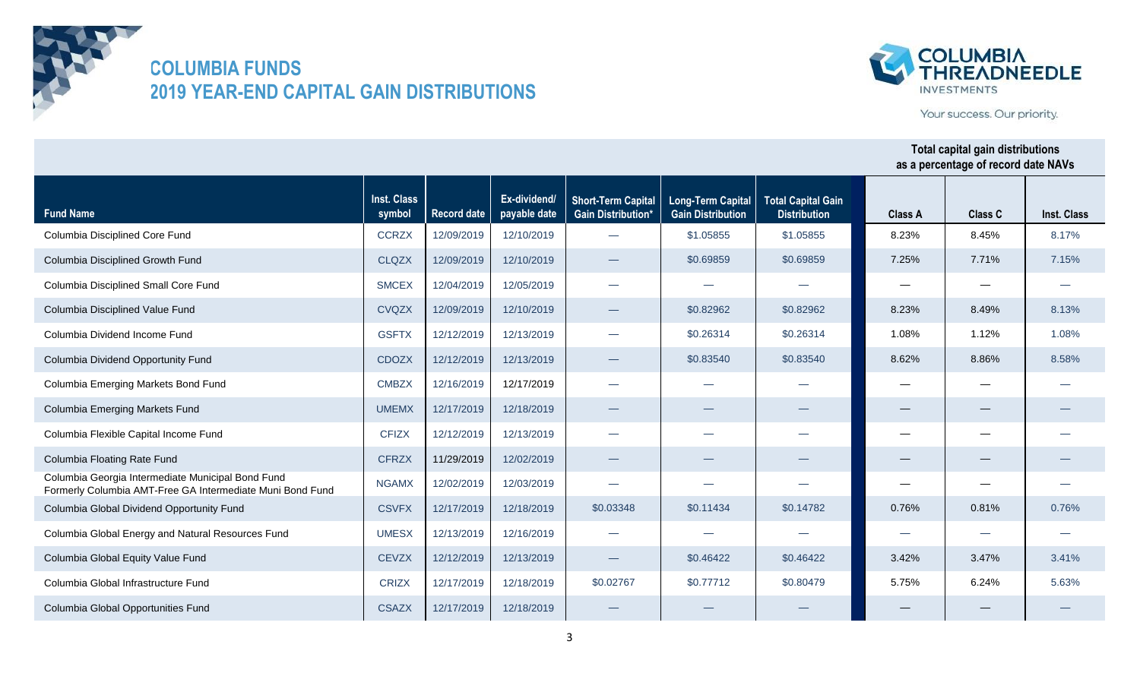



Your success. Our priority.

| <b>Fund Name</b>                                                                                               | Inst. Class<br>symbol | <b>Record date</b> | Ex-dividend/<br>payable date | <b>Short-Term Capital</b><br><b>Gain Distribution*</b> | <b>Long-Term Capital</b><br><b>Gain Distribution</b> | <b>Total Capital Gain</b><br><b>Distribution</b> | <b>Class A</b> | <b>Class C</b>                | Inst. Class |
|----------------------------------------------------------------------------------------------------------------|-----------------------|--------------------|------------------------------|--------------------------------------------------------|------------------------------------------------------|--------------------------------------------------|----------------|-------------------------------|-------------|
| Columbia Disciplined Core Fund                                                                                 | <b>CCRZX</b>          | 12/09/2019         | 12/10/2019                   |                                                        | \$1.05855                                            | \$1.05855                                        | 8.23%          | 8.45%                         | 8.17%       |
| Columbia Disciplined Growth Fund                                                                               | <b>CLQZX</b>          | 12/09/2019         | 12/10/2019                   | $\overline{\phantom{0}}$                               | \$0.69859                                            | \$0.69859                                        | 7.25%          | 7.71%                         | 7.15%       |
| Columbia Disciplined Small Core Fund                                                                           | <b>SMCEX</b>          | 12/04/2019         | 12/05/2019                   | $\overline{\phantom{0}}$                               |                                                      |                                                  |                |                               |             |
| Columbia Disciplined Value Fund                                                                                | <b>CVQZX</b>          | 12/09/2019         | 12/10/2019                   | $\overline{\phantom{0}}$                               | \$0.82962                                            | \$0.82962                                        | 8.23%          | 8.49%                         | 8.13%       |
| Columbia Dividend Income Fund                                                                                  | <b>GSFTX</b>          | 12/12/2019         | 12/13/2019                   | $\overline{\phantom{0}}$                               | \$0.26314                                            | \$0.26314                                        | 1.08%          | 1.12%                         | 1.08%       |
| Columbia Dividend Opportunity Fund                                                                             | <b>CDOZX</b>          | 12/12/2019         | 12/13/2019                   | $\overline{\phantom{0}}$                               | \$0.83540                                            | \$0.83540                                        | 8.62%          | 8.86%                         | 8.58%       |
| Columbia Emerging Markets Bond Fund                                                                            | <b>CMBZX</b>          | 12/16/2019         | 12/17/2019                   | $\overline{\phantom{0}}$                               | --                                                   |                                                  |                |                               |             |
| Columbia Emerging Markets Fund                                                                                 | <b>UMEMX</b>          | 12/17/2019         | 12/18/2019                   |                                                        |                                                      |                                                  |                |                               |             |
| Columbia Flexible Capital Income Fund                                                                          | <b>CFIZX</b>          | 12/12/2019         | 12/13/2019                   | $\overline{\phantom{0}}$                               |                                                      |                                                  |                |                               |             |
| Columbia Floating Rate Fund                                                                                    | <b>CFRZX</b>          | 11/29/2019         | 12/02/2019                   |                                                        |                                                      |                                                  |                | $\overbrace{\phantom{12332}}$ |             |
| Columbia Georgia Intermediate Municipal Bond Fund<br>Formerly Columbia AMT-Free GA Intermediate Muni Bond Fund | <b>NGAMX</b>          | 12/02/2019         | 12/03/2019                   |                                                        | --                                                   |                                                  |                |                               |             |
| Columbia Global Dividend Opportunity Fund                                                                      | <b>CSVFX</b>          | 12/17/2019         | 12/18/2019                   | \$0.03348                                              | \$0.11434                                            | \$0.14782                                        | 0.76%          | 0.81%                         | 0.76%       |
| Columbia Global Energy and Natural Resources Fund                                                              | <b>UMESX</b>          | 12/13/2019         | 12/16/2019                   | $\overline{\phantom{0}}$                               |                                                      |                                                  |                |                               |             |
| Columbia Global Equity Value Fund                                                                              | <b>CEVZX</b>          | 12/12/2019         | 12/13/2019                   |                                                        | \$0.46422                                            | \$0.46422                                        | 3.42%          | 3.47%                         | 3.41%       |
| Columbia Global Infrastructure Fund                                                                            | <b>CRIZX</b>          | 12/17/2019         | 12/18/2019                   | \$0.02767                                              | \$0.77712                                            | \$0.80479                                        | 5.75%          | 6.24%                         | 5.63%       |
| Columbia Global Opportunities Fund                                                                             | <b>CSAZX</b>          | 12/17/2019         | 12/18/2019                   |                                                        |                                                      |                                                  |                |                               |             |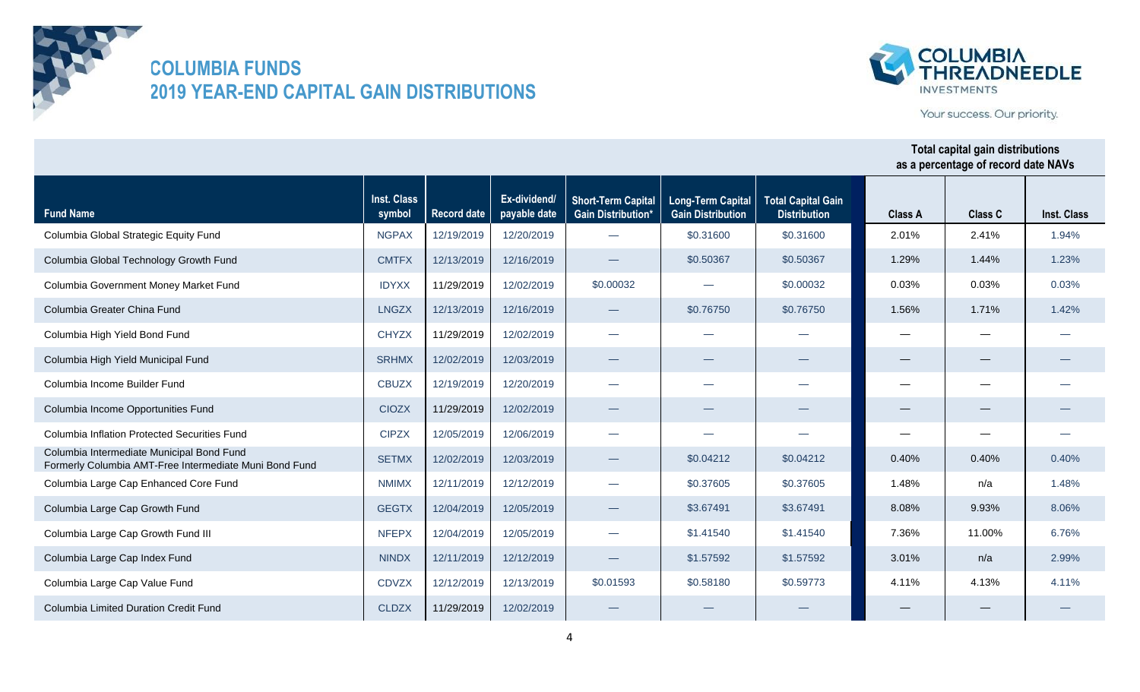



Your success. Our priority.

| <b>Fund Name</b>                                                                                    | <b>Inst. Class</b><br>symbol | <b>Record date</b> | Ex-dividend/<br>payable date | <b>Short-Term Capital</b><br><b>Gain Distribution*</b> | <b>Long-Term Capital</b><br><b>Gain Distribution</b> | <b>Total Capital Gain</b><br><b>Distribution</b> | <b>Class A</b> | <b>Class C</b> | Inst. Class |
|-----------------------------------------------------------------------------------------------------|------------------------------|--------------------|------------------------------|--------------------------------------------------------|------------------------------------------------------|--------------------------------------------------|----------------|----------------|-------------|
| Columbia Global Strategic Equity Fund                                                               | <b>NGPAX</b>                 | 12/19/2019         | 12/20/2019                   |                                                        | \$0.31600                                            | \$0.31600                                        | 2.01%          | 2.41%          | 1.94%       |
| Columbia Global Technology Growth Fund                                                              | <b>CMTFX</b>                 | 12/13/2019         | 12/16/2019                   |                                                        | \$0.50367                                            | \$0.50367                                        | 1.29%          | 1.44%          | 1.23%       |
| Columbia Government Money Market Fund                                                               | <b>IDYXX</b>                 | 11/29/2019         | 12/02/2019                   | \$0.00032                                              | المناسب                                              | \$0.00032                                        | 0.03%          | 0.03%          | 0.03%       |
| Columbia Greater China Fund                                                                         | <b>LNGZX</b>                 | 12/13/2019         | 12/16/2019                   |                                                        | \$0.76750                                            | \$0.76750                                        | 1.56%          | 1.71%          | 1.42%       |
| Columbia High Yield Bond Fund                                                                       | <b>CHYZX</b>                 | 11/29/2019         | 12/02/2019                   |                                                        | $\overline{\phantom{a}}$                             |                                                  |                |                |             |
| Columbia High Yield Municipal Fund                                                                  | <b>SRHMX</b>                 | 12/02/2019         | 12/03/2019                   | $\overline{\phantom{0}}$                               |                                                      |                                                  |                |                |             |
| Columbia Income Builder Fund                                                                        | <b>CBUZX</b>                 | 12/19/2019         | 12/20/2019                   | $\overline{\phantom{0}}$                               | المناسب                                              |                                                  |                |                |             |
| Columbia Income Opportunities Fund                                                                  | <b>CIOZX</b>                 | 11/29/2019         | 12/02/2019                   | $\hspace{0.1mm}-\hspace{0.1mm}$                        |                                                      |                                                  |                |                |             |
| <b>Columbia Inflation Protected Securities Fund</b>                                                 | <b>CIPZX</b>                 | 12/05/2019         | 12/06/2019                   | $\overline{\phantom{0}}$                               |                                                      |                                                  |                |                |             |
| Columbia Intermediate Municipal Bond Fund<br>Formerly Columbia AMT-Free Intermediate Muni Bond Fund | <b>SETMX</b>                 | 12/02/2019         | 12/03/2019                   |                                                        | \$0.04212                                            | \$0.04212                                        | 0.40%          | 0.40%          | 0.40%       |
| Columbia Large Cap Enhanced Core Fund                                                               | <b>NMIMX</b>                 | 12/11/2019         | 12/12/2019                   |                                                        | \$0.37605                                            | \$0.37605                                        | 1.48%          | n/a            | 1.48%       |
| Columbia Large Cap Growth Fund                                                                      | <b>GEGTX</b>                 | 12/04/2019         | 12/05/2019                   |                                                        | \$3,67491                                            | \$3,67491                                        | 8.08%          | 9.93%          | 8.06%       |
| Columbia Large Cap Growth Fund III                                                                  | <b>NFEPX</b>                 | 12/04/2019         | 12/05/2019                   | $\overline{\phantom{0}}$                               | \$1.41540                                            | \$1.41540                                        | 7.36%          | 11.00%         | 6.76%       |
| Columbia Large Cap Index Fund                                                                       | <b>NINDX</b>                 | 12/11/2019         | 12/12/2019                   |                                                        | \$1.57592                                            | \$1,57592                                        | 3.01%          | n/a            | 2.99%       |
| Columbia Large Cap Value Fund                                                                       | <b>CDVZX</b>                 | 12/12/2019         | 12/13/2019                   | \$0.01593                                              | \$0.58180                                            | \$0.59773                                        | 4.11%          | 4.13%          | 4.11%       |
| Columbia Limited Duration Credit Fund                                                               | <b>CLDZX</b>                 | 11/29/2019         | 12/02/2019                   |                                                        |                                                      |                                                  |                |                |             |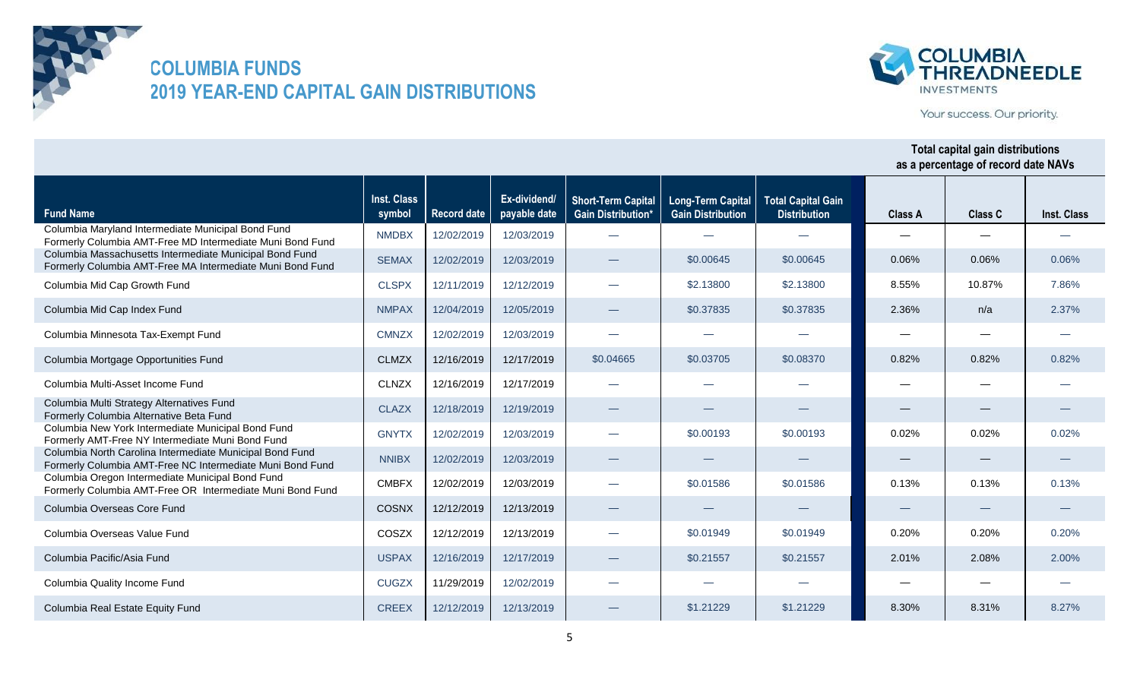



Your success. Our priority.

| <b>Fund Name</b>                                                                                                      | Inst. Class<br>symbol | <b>Record date</b> | Ex-dividend/<br>payable date | <b>Short-Term Capital</b><br><b>Gain Distribution*</b> | <b>Long-Term Capital</b><br><b>Gain Distribution</b> | <b>Total Capital Gain</b><br><b>Distribution</b> | <b>Class A</b> | <b>Class C</b> | <b>Inst. Class</b> |
|-----------------------------------------------------------------------------------------------------------------------|-----------------------|--------------------|------------------------------|--------------------------------------------------------|------------------------------------------------------|--------------------------------------------------|----------------|----------------|--------------------|
| Columbia Maryland Intermediate Municipal Bond Fund<br>Formerly Columbia AMT-Free MD Intermediate Muni Bond Fund       | <b>NMDBX</b>          | 12/02/2019         | 12/03/2019                   |                                                        |                                                      |                                                  |                |                |                    |
| Columbia Massachusetts Intermediate Municipal Bond Fund<br>Formerly Columbia AMT-Free MA Intermediate Muni Bond Fund  | <b>SEMAX</b>          | 12/02/2019         | 12/03/2019                   |                                                        | \$0.00645                                            | \$0.00645                                        | 0.06%          | 0.06%          | 0.06%              |
| Columbia Mid Cap Growth Fund                                                                                          | <b>CLSPX</b>          | 12/11/2019         | 12/12/2019                   | $\overline{\phantom{0}}$                               | \$2.13800                                            | \$2.13800                                        | 8.55%          | 10.87%         | 7.86%              |
| Columbia Mid Cap Index Fund                                                                                           | <b>NMPAX</b>          | 12/04/2019         | 12/05/2019                   |                                                        | \$0.37835                                            | \$0.37835                                        | 2.36%          | n/a            | 2.37%              |
| Columbia Minnesota Tax-Exempt Fund                                                                                    | <b>CMNZX</b>          | 12/02/2019         | 12/03/2019                   | $\overline{\phantom{0}}$                               |                                                      |                                                  |                |                |                    |
| Columbia Mortgage Opportunities Fund                                                                                  | <b>CLMZX</b>          | 12/16/2019         | 12/17/2019                   | \$0.04665                                              | \$0.03705                                            | \$0.08370                                        | 0.82%          | 0.82%          | 0.82%              |
| Columbia Multi-Asset Income Fund                                                                                      | <b>CLNZX</b>          | 12/16/2019         | 12/17/2019                   |                                                        |                                                      |                                                  |                |                |                    |
| Columbia Multi Strategy Alternatives Fund<br>Formerly Columbia Alternative Beta Fund                                  | <b>CLAZX</b>          | 12/18/2019         | 12/19/2019                   |                                                        |                                                      |                                                  |                |                |                    |
| Columbia New York Intermediate Municipal Bond Fund<br>Formerly AMT-Free NY Intermediate Muni Bond Fund                | <b>GNYTX</b>          | 12/02/2019         | 12/03/2019                   | $\overline{\phantom{0}}$                               | \$0.00193                                            | \$0.00193                                        | 0.02%          | 0.02%          | 0.02%              |
| Columbia North Carolina Intermediate Municipal Bond Fund<br>Formerly Columbia AMT-Free NC Intermediate Muni Bond Fund | <b>NNIBX</b>          | 12/02/2019         | 12/03/2019                   |                                                        |                                                      |                                                  |                |                |                    |
| Columbia Oregon Intermediate Municipal Bond Fund<br>Formerly Columbia AMT-Free OR Intermediate Muni Bond Fund         | <b>CMBFX</b>          | 12/02/2019         | 12/03/2019                   |                                                        | \$0.01586                                            | \$0.01586                                        | 0.13%          | 0.13%          | 0.13%              |
| Columbia Overseas Core Fund                                                                                           | <b>COSNX</b>          | 12/12/2019         | 12/13/2019                   |                                                        |                                                      |                                                  |                |                |                    |
| Columbia Overseas Value Fund                                                                                          | COSZX                 | 12/12/2019         | 12/13/2019                   |                                                        | \$0.01949                                            | \$0.01949                                        | 0.20%          | 0.20%          | 0.20%              |
| Columbia Pacific/Asia Fund                                                                                            | <b>USPAX</b>          | 12/16/2019         | 12/17/2019                   |                                                        | \$0.21557                                            | \$0.21557                                        | 2.01%          | 2.08%          | 2.00%              |
| Columbia Quality Income Fund                                                                                          | <b>CUGZX</b>          | 11/29/2019         | 12/02/2019                   |                                                        |                                                      |                                                  |                |                |                    |
| Columbia Real Estate Equity Fund                                                                                      | <b>CREEX</b>          | 12/12/2019         | 12/13/2019                   |                                                        | \$1,21229                                            | \$1,21229                                        | 8.30%          | 8.31%          | 8.27%              |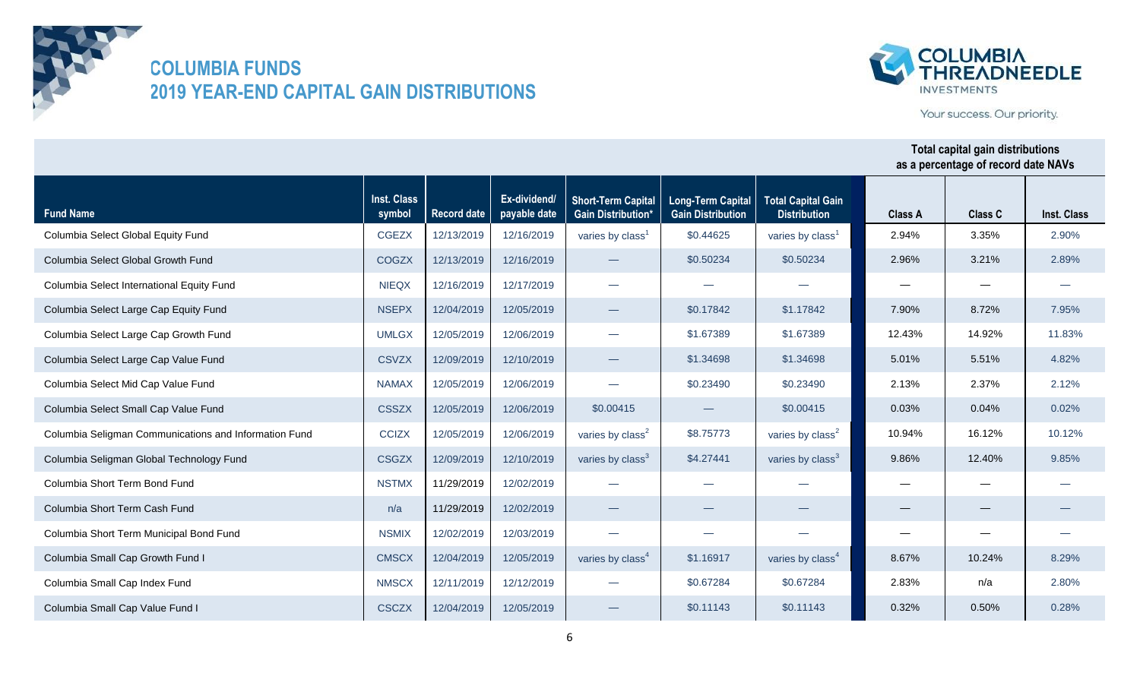



Your success. Our priority.

| <b>Fund Name</b>                                      | Inst. Class<br>symbol | Record date | Ex-dividend/<br>payable date | <b>Short-Term Capital</b><br><b>Gain Distribution*</b> | <b>Long-Term Capital</b><br><b>Gain Distribution</b> | <b>Total Capital Gain</b><br><b>Distribution</b> | <b>Class A</b> | <b>Class C</b> | Inst. Class |
|-------------------------------------------------------|-----------------------|-------------|------------------------------|--------------------------------------------------------|------------------------------------------------------|--------------------------------------------------|----------------|----------------|-------------|
| Columbia Select Global Equity Fund                    | <b>CGEZX</b>          | 12/13/2019  | 12/16/2019                   | varies by class <sup>1</sup>                           | \$0.44625                                            | varies by class <sup>1</sup>                     | 2.94%          | 3.35%          | 2.90%       |
| Columbia Select Global Growth Fund                    | <b>COGZX</b>          | 12/13/2019  | 12/16/2019                   |                                                        | \$0.50234                                            | \$0.50234                                        | 2.96%          | 3.21%          | 2.89%       |
| Columbia Select International Equity Fund             | <b>NIEQX</b>          | 12/16/2019  | 12/17/2019                   | $\overline{\phantom{0}}$                               |                                                      |                                                  |                |                |             |
| Columbia Select Large Cap Equity Fund                 | <b>NSEPX</b>          | 12/04/2019  | 12/05/2019                   |                                                        | \$0.17842                                            | \$1.17842                                        | 7.90%          | 8.72%          | 7.95%       |
| Columbia Select Large Cap Growth Fund                 | <b>UMLGX</b>          | 12/05/2019  | 12/06/2019                   | $\overline{\phantom{0}}$                               | \$1.67389                                            | \$1.67389                                        | 12.43%         | 14.92%         | 11.83%      |
| Columbia Select Large Cap Value Fund                  | <b>CSVZX</b>          | 12/09/2019  | 12/10/2019                   | $\overbrace{\phantom{aaaaa}}$                          | \$1.34698                                            | \$1.34698                                        | 5.01%          | 5.51%          | 4.82%       |
| Columbia Select Mid Cap Value Fund                    | <b>NAMAX</b>          | 12/05/2019  | 12/06/2019                   | $\sim$                                                 | \$0.23490                                            | \$0.23490                                        | 2.13%          | 2.37%          | 2.12%       |
| Columbia Select Small Cap Value Fund                  | <b>CSSZX</b>          | 12/05/2019  | 12/06/2019                   | \$0.00415                                              |                                                      | \$0.00415                                        | 0.03%          | 0.04%          | 0.02%       |
| Columbia Seligman Communications and Information Fund | <b>CCIZX</b>          | 12/05/2019  | 12/06/2019                   | varies by class <sup>2</sup>                           | \$8.75773                                            | varies by class <sup>2</sup>                     | 10.94%         | 16.12%         | 10.12%      |
| Columbia Seligman Global Technology Fund              | <b>CSGZX</b>          | 12/09/2019  | 12/10/2019                   | varies by class <sup>3</sup>                           | \$4.27441                                            | varies by class <sup>3</sup>                     | 9.86%          | 12.40%         | 9.85%       |
| Columbia Short Term Bond Fund                         | <b>NSTMX</b>          | 11/29/2019  | 12/02/2019                   |                                                        |                                                      |                                                  |                |                |             |
| Columbia Short Term Cash Fund                         | n/a                   | 11/29/2019  | 12/02/2019                   |                                                        |                                                      |                                                  |                |                |             |
| Columbia Short Term Municipal Bond Fund               | <b>NSMIX</b>          | 12/02/2019  | 12/03/2019                   | $\sim$                                                 |                                                      |                                                  |                |                |             |
| Columbia Small Cap Growth Fund I                      | <b>CMSCX</b>          | 12/04/2019  | 12/05/2019                   | varies by class <sup>4</sup>                           | \$1.16917                                            | varies by class <sup>4</sup>                     | 8.67%          | 10.24%         | 8.29%       |
| Columbia Small Cap Index Fund                         | <b>NMSCX</b>          | 12/11/2019  | 12/12/2019                   |                                                        | \$0.67284                                            | \$0.67284                                        | 2.83%          | n/a            | 2.80%       |
| Columbia Small Cap Value Fund I                       | <b>CSCZX</b>          | 12/04/2019  | 12/05/2019                   |                                                        | \$0.11143                                            | \$0.11143                                        | 0.32%          | 0.50%          | 0.28%       |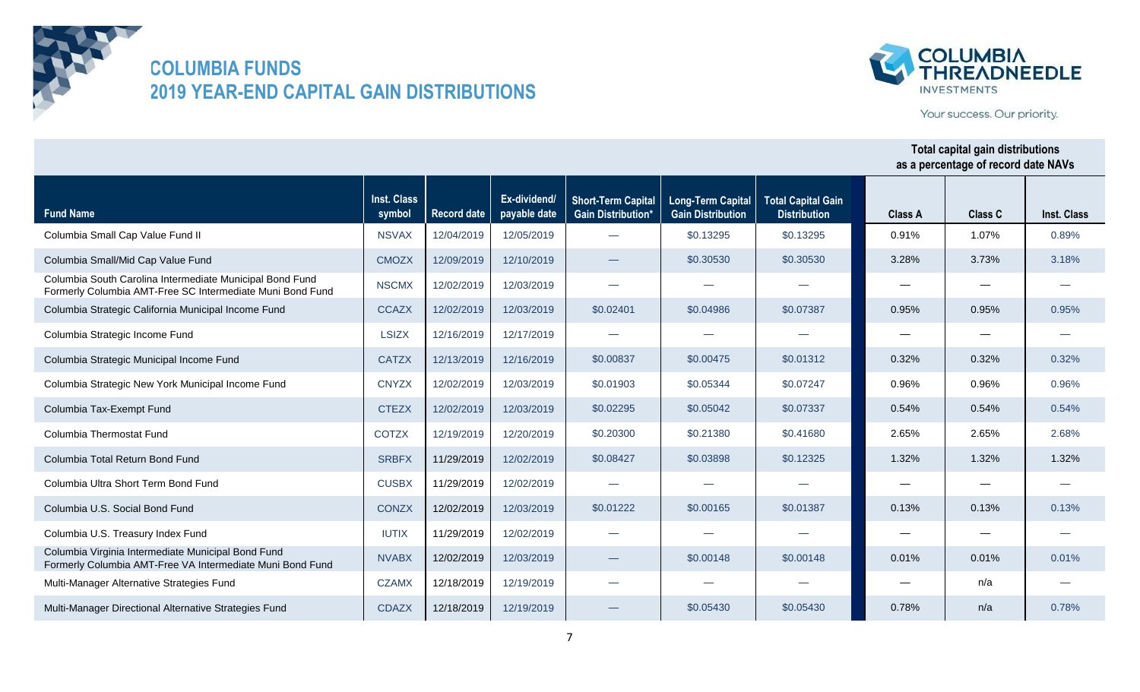



Your success. Our priority.

| <b>Fund Name</b>                                                                                                      | <b>Inst. Class</b><br>symbol | <b>Record date</b> | Ex-dividend/<br>payable date | <b>Short-Term Capital</b><br><b>Gain Distribution*</b> | <b>Long-Term Capital</b><br><b>Gain Distribution</b> | <b>Total Capital Gain</b><br><b>Distribution</b> | <b>Class A</b> | <b>Class C</b> | Inst. Class |
|-----------------------------------------------------------------------------------------------------------------------|------------------------------|--------------------|------------------------------|--------------------------------------------------------|------------------------------------------------------|--------------------------------------------------|----------------|----------------|-------------|
| Columbia Small Cap Value Fund II                                                                                      | <b>NSVAX</b>                 | 12/04/2019         | 12/05/2019                   |                                                        | \$0.13295                                            | \$0.13295                                        | 0.91%          | 1.07%          | 0.89%       |
| Columbia Small/Mid Cap Value Fund                                                                                     | <b>CMOZX</b>                 | 12/09/2019         | 12/10/2019                   |                                                        | \$0.30530                                            | \$0.30530                                        | 3.28%          | 3.73%          | 3.18%       |
| Columbia South Carolina Intermediate Municipal Bond Fund<br>Formerly Columbia AMT-Free SC Intermediate Muni Bond Fund | <b>NSCMX</b>                 | 12/02/2019         | 12/03/2019                   | $\overline{\phantom{0}}$                               | --                                                   |                                                  |                |                |             |
| Columbia Strategic California Municipal Income Fund                                                                   | <b>CCAZX</b>                 | 12/02/2019         | 12/03/2019                   | \$0.02401                                              | \$0.04986                                            | \$0.07387                                        | 0.95%          | 0.95%          | 0.95%       |
| Columbia Strategic Income Fund                                                                                        | <b>LSIZX</b>                 | 12/16/2019         | 12/17/2019                   | $\overline{\phantom{0}}$                               |                                                      |                                                  |                |                |             |
| Columbia Strategic Municipal Income Fund                                                                              | <b>CATZX</b>                 | 12/13/2019         | 12/16/2019                   | \$0.00837                                              | \$0.00475                                            | \$0.01312                                        | 0.32%          | 0.32%          | 0.32%       |
| Columbia Strategic New York Municipal Income Fund                                                                     | <b>CNYZX</b>                 | 12/02/2019         | 12/03/2019                   | \$0.01903                                              | \$0.05344                                            | \$0.07247                                        | 0.96%          | 0.96%          | 0.96%       |
| Columbia Tax-Exempt Fund                                                                                              | <b>CTEZX</b>                 | 12/02/2019         | 12/03/2019                   | \$0.02295                                              | \$0.05042                                            | \$0.07337                                        | 0.54%          | 0.54%          | 0.54%       |
| Columbia Thermostat Fund                                                                                              | <b>COTZX</b>                 | 12/19/2019         | 12/20/2019                   | \$0.20300                                              | \$0.21380                                            | \$0.41680                                        | 2.65%          | 2.65%          | 2.68%       |
| Columbia Total Return Bond Fund                                                                                       | <b>SRBFX</b>                 | 11/29/2019         | 12/02/2019                   | \$0.08427                                              | \$0.03898                                            | \$0.12325                                        | 1.32%          | 1.32%          | 1.32%       |
| Columbia Ultra Short Term Bond Fund                                                                                   | <b>CUSBX</b>                 | 11/29/2019         | 12/02/2019                   |                                                        |                                                      |                                                  |                |                |             |
| Columbia U.S. Social Bond Fund                                                                                        | <b>CONZX</b>                 | 12/02/2019         | 12/03/2019                   | \$0.01222                                              | \$0.00165                                            | \$0.01387                                        | 0.13%          | 0.13%          | 0.13%       |
| Columbia U.S. Treasury Index Fund                                                                                     | <b>IUTIX</b>                 | 11/29/2019         | 12/02/2019                   | $\overline{\phantom{0}}$                               |                                                      |                                                  |                |                |             |
| Columbia Virginia Intermediate Municipal Bond Fund<br>Formerly Columbia AMT-Free VA Intermediate Muni Bond Fund       | <b>NVABX</b>                 | 12/02/2019         | 12/03/2019                   |                                                        | \$0,00148                                            | \$0,00148                                        | 0.01%          | 0.01%          | 0.01%       |
| Multi-Manager Alternative Strategies Fund                                                                             | <b>CZAMX</b>                 | 12/18/2019         | 12/19/2019                   |                                                        |                                                      |                                                  |                | n/a            |             |
| Multi-Manager Directional Alternative Strategies Fund                                                                 | <b>CDAZX</b>                 | 12/18/2019         | 12/19/2019                   |                                                        | \$0.05430                                            | \$0.05430                                        | 0.78%          | n/a            | 0.78%       |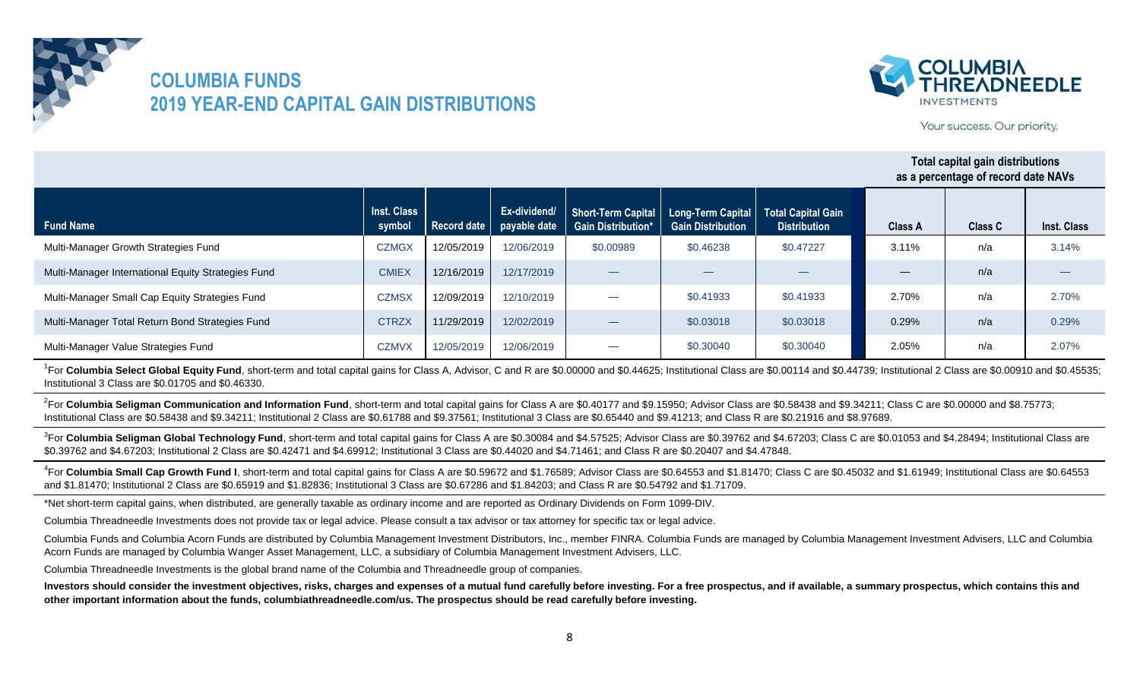



Your success. Our priority.

#### **Fund Name Inst. Class symbol Record date Ex-dividend/ payable date Short-Term Capital Gain Distribution\* Long-Term Capital Gain Distribution Total Capital Gain Distribution Class A Class C Total capital gain distributions as a percentage of record date NAVs Inst. Class** Multi-Manager Growth Strategies Fund CZMGX | 12/05/2019 | 12/06/2019 Multi-Manager International Equity Strategies Fund Fund CMIEX | 12/16/2019 | 12/17/2019 Multi-Manager Small Cap Equity Strategies Fund COMSX | 12/09/2019 | 12/10/2019 Multi-Manager Total Return Bond Strategies Fund CTRZX | 11/29/2019 | 12/02/2019 Multi-Manager Value Strategies Fund CZMVX 12/05/2019 12/06/2019 \$0.00989 \$0.46238 \$0.47227 — — — 3.14% — 2.70% n/a n/a 3.11% n/a — 2.70% 0.29% | n/a | 0.29% — \$0.30040 \$0.30040 \$0.41933 \$0.41933 2.05% n/a 2.07% — \$0.03018 \$0.03018

<sup>1</sup>For Columbia Select Global Equity Fund, short-term and total capital gains for Class A, Advisor, C and R are \$0.00000 and \$0.44625; Institutional Class are \$0.00114 and \$0.44739; Institutional 2 Class are \$0.00910 and \$ Institutional 3 Class are \$0.01705 and \$0.46330.

<sup>2</sup>For Columbia Seligman Communication and Information Fund, short-term and total capital gains for Class A are \$0.40177 and \$9.15950; Advisor Class are \$0.58438 and \$9.34211; Class C are \$0.00000 and \$8.75773; Institutional Class are \$0.58438 and \$9.34211; Institutional 2 Class are \$0.61788 and \$9.37561; Institutional 3 Class are \$0.65440 and \$9.41213; and Class R are \$0.21916 and \$8.97689.

<sup>3</sup>For Columbia Seligman Global Technology Fund, short-term and total capital gains for Class A are \$0.30084 and \$4.57525; Advisor Class are \$0.39762 and \$4.67203; Class C are \$0.01053 and \$4.28494; Institutional Class are \$0.39762 and \$4.67203; Institutional 2 Class are \$0.42471 and \$4.69912; Institutional 3 Class are \$0.44020 and \$4.71461; and Class R are \$0.20407 and \$4.47848.

<sup>4</sup>For Columbia Small Cap Growth Fund I, short-term and total capital gains for Class A are \$0.59672 and \$1.76589; Advisor Class are \$0.64553 and \$1.81470; Class C are \$0.45032 and \$1.61949; Institutional Class are \$0.6455 and \$1.81470; Institutional 2 Class are \$0.65919 and \$1.82836; Institutional 3 Class are \$0.67286 and \$1.84203; and Class R are \$0.54792 and \$1.71709.

\*Net short-term capital gains, when distributed, are generally taxable as ordinary income and are reported as Ordinary Dividends on Form 1099-DIV.

Columbia Threadneedle Investments does not provide tax or legal advice. Please consult a tax advisor or tax attorney for specific tax or legal advice.

Columbia Funds and Columbia Acorn Funds are distributed by Columbia Management Investment Distributors, Inc., member FINRA. Columbia Funds are managed by Columbia Management Investment Advisers, LLC and Columbia Acorn Funds are managed by Columbia Wanger Asset Management, LLC, a subsidiary of Columbia Management Investment Advisers, LLC.

Columbia Threadneedle Investments is the global brand name of the Columbia and Threadneedle group of companies.

Investors should consider the investment objectives, risks, charges and expenses of a mutual fund carefully before investing. For a free prospectus, and if available, a summary prospectus, which contains this and **other important information about the funds, columbiathreadneedle.com/us. The prospectus should be read carefully before investing.**